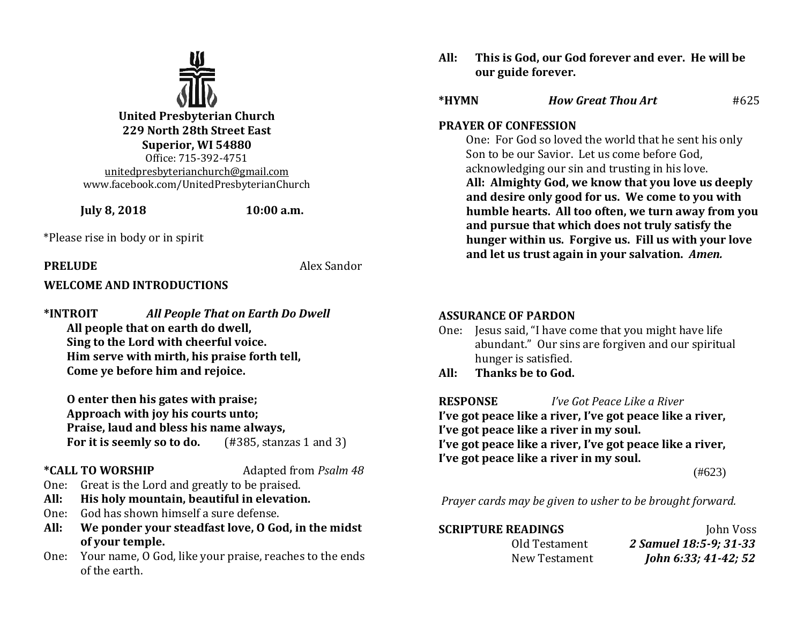

**United Presbyterian Church 229 North 28th Street East Superior, WI 54880** Office: 715-392-4751 [unitedpresbyterianchurch@gmail.com](mailto:unitedpresbyterianchurch@gmail.com) www.facebook.com/UnitedPresbyterianChurch

**July 8, 2018 10:00 a.m.**

\*Please rise in body or in spirit

## **PRELUDE** Alex Sandor

## **WELCOME AND INTRODUCTIONS**

**\*INTROIT** *All People That on Earth Do Dwell* **All people that on earth do dwell, Sing to the Lord with cheerful voice. Him serve with mirth, his praise forth tell, Come ye before him and rejoice.**

**O enter then his gates with praise; Approach with joy his courts unto; Praise, laud and bless his name always, For it is seemly so to do.** (#385, stanzas 1 and 3)

**\*CALL TO WORSHIP** Adapted from *Psalm 48*

- One: Great is the Lord and greatly to be praised.
- **All: His holy mountain, beautiful in elevation.**
- One: God has shown himself a sure defense.
- **All: We ponder your steadfast love, O God, in the midst of your temple.**
- One: Your name, O God, like your praise, reaches to the ends of the earth.

**All: This is God, our God forever and ever. He will be our guide forever.**

| *HYMN | <b>How Great Thou Art</b> | #625 |
|-------|---------------------------|------|
|       |                           |      |

## **PRAYER OF CONFESSION**

One: For God so loved the world that he sent his only Son to be our Savior. Let us come before God, acknowledging our sin and trusting in his love. **All: Almighty God, we know that you love us deeply and desire only good for us. We come to you with humble hearts. All too often, we turn away from you and pursue that which does not truly satisfy the hunger within us. Forgive us. Fill us with your love and let us trust again in your salvation.** *Amen.*

## **ASSURANCE OF PARDON**

- One: Jesus said, "I have come that you might have life abundant." Our sins are forgiven and our spiritual hunger is satisfied.
- **All: Thanks be to God.**

**RESPONSE** *I've Got Peace Like a River* **I've got peace like a river, I've got peace like a river, I've got peace like a river in my soul. I've got peace like a river, I've got peace like a river, I've got peace like a river in my soul.** 

(#623)

*Prayer cards may be given to usher to be brought forward.*

**SCRIPTURE READINGS** John Voss Old Testament *2 Samuel 18:5-9; 31-33* New Testament *John 6:33; 41-42; 52*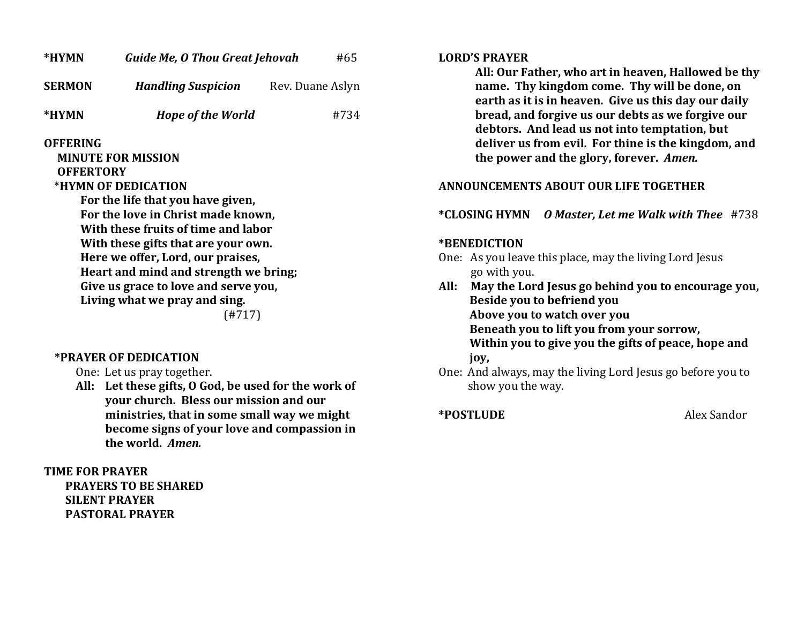| *HYMN                                                                                                                                                                                                                                                                                                                                                                                                   | <b>Guide Me, O Thou Great Jehovah</b> | #65              |  |
|---------------------------------------------------------------------------------------------------------------------------------------------------------------------------------------------------------------------------------------------------------------------------------------------------------------------------------------------------------------------------------------------------------|---------------------------------------|------------------|--|
| <b>SERMON</b>                                                                                                                                                                                                                                                                                                                                                                                           | <b>Handling Suspicion</b>             | Rev. Duane Aslyn |  |
| *HYMN                                                                                                                                                                                                                                                                                                                                                                                                   | <b>Hope of the World</b>              | #734             |  |
| <b>OFFERING</b><br><b>MINUTE FOR MISSION</b><br><b>OFFERTORY</b><br>*HYMN OF DEDICATION<br>For the life that you have given,<br>For the love in Christ made known,<br>With these fruits of time and labor<br>With these gifts that are your own.<br>Here we offer, Lord, our praises,<br>Heart and mind and strength we bring;<br>Give us grace to love and serve you,<br>Living what we pray and sing. |                                       |                  |  |

### **\*PRAYER OF DEDICATION**

One: Let us pray together.

**All: Let these gifts, O God, be used for the work of your church. Bless our mission and our ministries, that in some small way we might become signs of your love and compassion in the world.** *Amen.*

**TIME FOR PRAYER PRAYERS TO BE SHARED SILENT PRAYER PASTORAL PRAYER**

#### **LORD'S PRAYER**

**All: Our Father, who art in heaven, Hallowed be thy name. Thy kingdom come. Thy will be done, on earth as it is in heaven. Give us this day our daily bread, and forgive us our debts as we forgive our debtors. And lead us not into temptation, but deliver us from evil. For thine is the kingdom, and the power and the glory, forever.** *Amen.*

### **ANNOUNCEMENTS ABOUT OUR LIFE TOGETHER**

### **\*CLOSING HYMN** *O Master, Let me Walk with Thee* #738

#### **\*BENEDICTION**

- One: As you leave this place, may the living Lord Jesus go with you.
- **All: May the Lord Jesus go behind you to encourage you, Beside you to befriend you Above you to watch over you Beneath you to lift you from your sorrow,**

 **Within you to give you the gifts of peace, hope and** 

- **joy,**
- One: And always, may the living Lord Jesus go before you to show you the way.

**\*POSTLUDE** Alex Sandor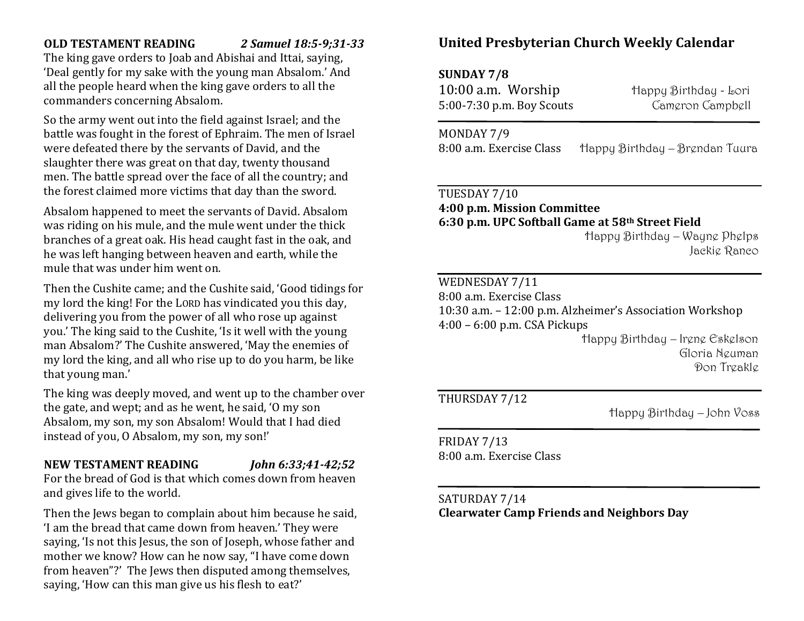## **OLD TESTAMENT READING** *2 Samuel 18:5-9;31-33*

The king gave orders to Joab and Abishai and Ittai, saying, 'Deal gently for my sake with the young man Absalom.' And all the people heard when the king gave orders to all the commanders concerning Absalom.

So the army went out into the field against Israel; and the battle was fought in the forest of Ephraim. The men of Israel were defeated there by the servants of David, and the slaughter there was great on that day, twenty thousand men. The battle spread over the face of all the country; and the forest claimed more victims that day than the sword.

Absalom happened to meet the servants of David. Absalom was riding on his mule, and the mule went under the thick branches of a great oak. His head caught fast in the oak, and he was left hanging between heaven and earth, while the mule that was under him went on.

Then the Cushite came; and the Cushite said, 'Good tidings for my lord the king! For the LORD has vindicated you this day, delivering you from the power of all who rose up against you.' The king said to the Cushite, 'Is it well with the young man Absalom?' The Cushite answered, 'May the enemies of my lord the king, and all who rise up to do you harm, be like that young man.'

The king was deeply moved, and went up to the chamber over the gate, and wept; and as he went, he said, 'O my son Absalom, my son, my son Absalom! Would that I had died instead of you, O Absalom, my son, my son!'

# **NEW TESTAMENT READING** *John 6:33;41-42;52*

For the bread of God is that which comes down from heaven and gives life to the world.

Then the Jews began to complain about him because he said, 'I am the bread that came down from heaven.' They were saying, 'Is not this Jesus, the son of Joseph, whose father and mother we know? How can he now say, "I have come down from heaven"?' The Jews then disputed among themselves, saying, 'How can this man give us his flesh to eat?'

# **United Presbyterian Church Weekly Calendar**

# **SUNDAY 7/8**

10:00 a.m. Worship Happy Birthday - Lori 5:00-7:30 p.m. Boy Scouts Cameron Campbell

MONDAY 7/9 8:00 a.m. Exercise Class Happy Birthday – Brendan Tuura

# TUESDAY 7/10

**4:00 p.m. Mission Committee 6:30 p.m. UPC Softball Game at 58th Street Field**

> Happy Birthday – Wayne Phelps Jackie Ranco

## WEDNESDAY 7/11

8:00 a.m. Exercise Class

10:30 a.m. – 12:00 p.m. Alzheimer's Association Workshop 4:00 – 6:00 p.m. CSA Pickups

> Happy Birthday – Irene Eskelson Gloria Neuman Don Treakle

## THURSDAY 7/12

Happy Birthday – John Voss

FRIDAY 7/13 8:00 a.m. Exercise Class

# SATURDAY 7/14 **Clearwater Camp Friends and Neighbors Day**

 $\overline{a}$